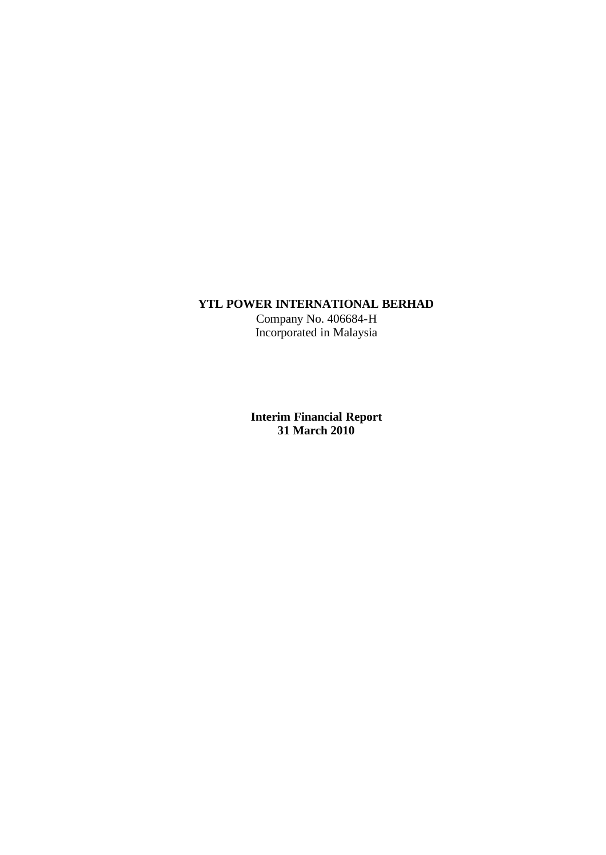### **YTL POWER INTERNATIONAL BERHAD**

Company No. 406684-H Incorporated in Malaysia

**Interim Financial Report 31 March 2010**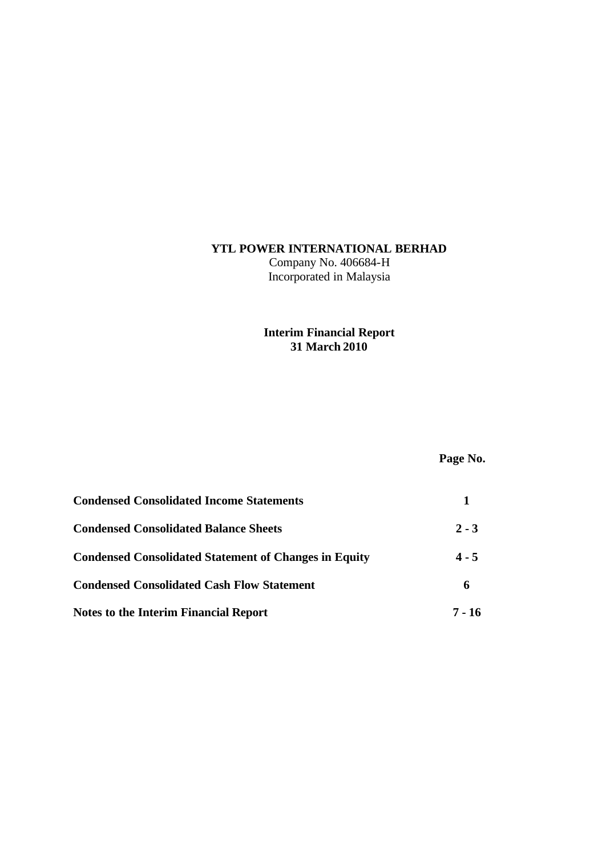## **YTL POWER INTERNATIONAL BERHAD**

Company No. 406684-H Incorporated in Malaysia

# **Interim Financial Report 31 March 2010**

# **Page No.**

| <b>Condensed Consolidated Income Statements</b>              |         |
|--------------------------------------------------------------|---------|
| <b>Condensed Consolidated Balance Sheets</b>                 | $2 - 3$ |
| <b>Condensed Consolidated Statement of Changes in Equity</b> | $4 - 5$ |
| <b>Condensed Consolidated Cash Flow Statement</b>            | 6       |
| Notes to the Interim Financial Report                        | 7 - 16  |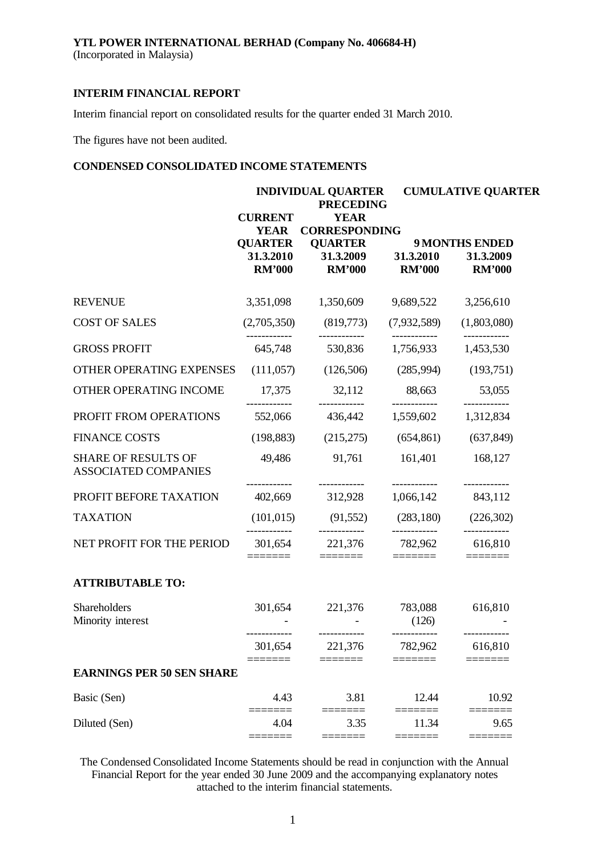Interim financial report on consolidated results for the quarter ended 31 March 2010.

The figures have not been audited.

### **CONDENSED CONSOLIDATED INCOME STATEMENTS**

|                                                           | <b>INDIVIDUAL QUARTER</b><br><b>PRECEDING</b>                                 |                                                                                     |                            | <b>CUMULATIVE QUARTER</b>                                                                                                                                                                                                                                                                                                                                                                                                                                                                  |
|-----------------------------------------------------------|-------------------------------------------------------------------------------|-------------------------------------------------------------------------------------|----------------------------|--------------------------------------------------------------------------------------------------------------------------------------------------------------------------------------------------------------------------------------------------------------------------------------------------------------------------------------------------------------------------------------------------------------------------------------------------------------------------------------------|
|                                                           | <b>CURRENT</b><br><b>YEAR</b><br><b>QUARTER</b><br>31.3.2010<br><b>RM'000</b> | <b>YEAR</b><br><b>CORRESPONDING</b><br><b>QUARTER</b><br>31.3.2009<br><b>RM'000</b> | 31.3.2010<br><b>RM'000</b> | <b>9 MONTHS ENDED</b><br>31.3.2009<br><b>RM'000</b>                                                                                                                                                                                                                                                                                                                                                                                                                                        |
| <b>REVENUE</b>                                            |                                                                               | 3,351,098 1,350,609                                                                 |                            | 9,689,522 3,256,610                                                                                                                                                                                                                                                                                                                                                                                                                                                                        |
| <b>COST OF SALES</b>                                      | (2,705,350)                                                                   | (819,773)                                                                           | (7,932,589)                | (1,803,080)                                                                                                                                                                                                                                                                                                                                                                                                                                                                                |
| <b>GROSS PROFIT</b>                                       | 645,748                                                                       | -----------<br>530,836                                                              | ------------<br>1,756,933  | ------------<br>1,453,530                                                                                                                                                                                                                                                                                                                                                                                                                                                                  |
| OTHER OPERATING EXPENSES                                  | (111, 057)                                                                    | (126,506)                                                                           | (285,994)                  | (193,751)                                                                                                                                                                                                                                                                                                                                                                                                                                                                                  |
| OTHER OPERATING INCOME                                    | 17,375                                                                        | 32,112                                                                              | 88,663                     | 53,055<br>-------------                                                                                                                                                                                                                                                                                                                                                                                                                                                                    |
| PROFIT FROM OPERATIONS                                    | 552,066                                                                       | 436,442                                                                             | 1,559,602                  | 1,312,834                                                                                                                                                                                                                                                                                                                                                                                                                                                                                  |
| <b>FINANCE COSTS</b>                                      | (198, 883)                                                                    | (215,275)                                                                           | (654, 861)                 | (637, 849)                                                                                                                                                                                                                                                                                                                                                                                                                                                                                 |
| <b>SHARE OF RESULTS OF</b><br><b>ASSOCIATED COMPANIES</b> | 49,486                                                                        | 91,761                                                                              | 161,401                    | 168,127                                                                                                                                                                                                                                                                                                                                                                                                                                                                                    |
| PROFIT BEFORE TAXATION                                    | 402,669                                                                       | 312,928                                                                             | 1,066,142                  | 843,112                                                                                                                                                                                                                                                                                                                                                                                                                                                                                    |
| <b>TAXATION</b>                                           | (101, 015)                                                                    | $(91,552)$ $(283,180)$                                                              |                            | (226, 302)                                                                                                                                                                                                                                                                                                                                                                                                                                                                                 |
| NET PROFIT FOR THE PERIOD                                 | 301,654<br>=======                                                            | ------------<br>221,376<br>=======                                                  | ------------<br>782,962    | ------------<br>616,810<br>$\begin{tabular}{ll} \multicolumn{3}{l}{{\color{blue}\textbf{1}}}\\[-2.0mm]{\color{blue}\textbf{2}}\\[-2.0mm]{\color{blue}\textbf{2}}\\[-2.0mm]{\color{blue}\textbf{3}}\\[-2.0mm]{\color{blue}\textbf{4}}\\[-2.0mm]{\color{blue}\textbf{4}}\\[-2.0mm]{\color{blue}\textbf{4}}\\[-2.0mm]{\color{blue}\textbf{4}}\\[-2.0mm]{\color{blue}\textbf{4}}\\[-2.0mm]{\color{blue}\textbf{4}}\\[-2.0mm]{\color{blue}\textbf{4}}\\[-2.0mm]{\color{blue}\textbf{4}}\\[-2.0$ |
| <b>ATTRIBUTABLE TO:</b>                                   |                                                                               |                                                                                     |                            |                                                                                                                                                                                                                                                                                                                                                                                                                                                                                            |
| Shareholders<br>Minority interest                         |                                                                               | 301,654 221,376                                                                     | 783,088<br>(126)           | 616,810                                                                                                                                                                                                                                                                                                                                                                                                                                                                                    |
|                                                           | 301,654                                                                       | 221,376                                                                             | ------------<br>782,962    | 616,810                                                                                                                                                                                                                                                                                                                                                                                                                                                                                    |
| <b>EARNINGS PER 50 SEN SHARE</b>                          |                                                                               |                                                                                     |                            |                                                                                                                                                                                                                                                                                                                                                                                                                                                                                            |
| Basic (Sen)                                               | 4.43                                                                          | 3.81                                                                                | 12.44                      | 10.92                                                                                                                                                                                                                                                                                                                                                                                                                                                                                      |
| Diluted (Sen)                                             | 4.04                                                                          | 3.35<br>$====$                                                                      | 11.34                      | 9.65                                                                                                                                                                                                                                                                                                                                                                                                                                                                                       |

The Condensed Consolidated Income Statements should be read in conjunction with the Annual Financial Report for the year ended 30 June 2009 and the accompanying explanatory notes attached to the interim financial statements.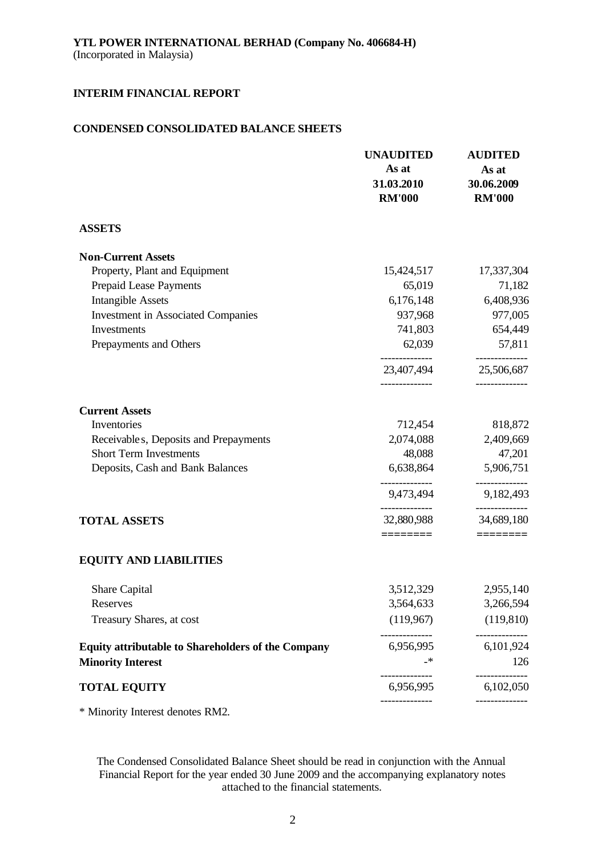### **CONDENSED CONSOLIDATED BALANCE SHEETS**

|                                                           | <b>UNAUDITED</b><br>As at<br>31.03.2010<br><b>RM'000</b> | <b>AUDITED</b><br>As at<br>30.06.2009<br><b>RM'000</b> |
|-----------------------------------------------------------|----------------------------------------------------------|--------------------------------------------------------|
| <b>ASSETS</b>                                             |                                                          |                                                        |
| <b>Non-Current Assets</b>                                 |                                                          |                                                        |
| Property, Plant and Equipment                             | 15,424,517                                               | 17,337,304                                             |
| Prepaid Lease Payments                                    | 65,019                                                   | 71,182                                                 |
| <b>Intangible Assets</b>                                  | 6,176,148                                                | 6,408,936                                              |
| <b>Investment in Associated Companies</b>                 | 937,968                                                  | 977,005                                                |
| Investments                                               | 741,803                                                  | 654,449                                                |
| Prepayments and Others                                    | 62,039                                                   | 57,811                                                 |
|                                                           | ______________<br>23,407,494                             | --------------<br>25,506,687                           |
| <b>Current Assets</b>                                     |                                                          |                                                        |
| Inventories                                               | 712,454                                                  | 818,872                                                |
| Receivable s, Deposits and Prepayments                    | 2,074,088                                                | 2,409,669                                              |
| <b>Short Term Investments</b>                             | 48,088                                                   | 47,201                                                 |
| Deposits, Cash and Bank Balances                          | 6,638,864                                                | 5,906,751                                              |
|                                                           | 9,473,494                                                | 9,182,493                                              |
| <b>TOTAL ASSETS</b>                                       | 32,880,988<br>========                                   | 34,689,180<br>$=$ $=$ $=$ $=$ $=$ $=$ $=$              |
| <b>EQUITY AND LIABILITIES</b>                             |                                                          |                                                        |
| Share Capital                                             | 3,512,329                                                | 2,955,140                                              |
| Reserves                                                  | 3,564,633                                                | 3,266,594                                              |
| Treasury Shares, at cost                                  | (119,967)                                                | (119, 810)                                             |
| <b>Equity attributable to Shareholders of the Company</b> | 6,956,995                                                | 6,101,924                                              |
| <b>Minority Interest</b>                                  |                                                          | 126                                                    |
| <b>TOTAL EQUITY</b>                                       | 6,956,995                                                | 6,102,050                                              |
| * Minority Interest denotes RM2.                          |                                                          |                                                        |

The Condensed Consolidated Balance Sheet should be read in conjunction with the Annual Financial Report for the year ended 30 June 2009 and the accompanying explanatory notes attached to the financial statements.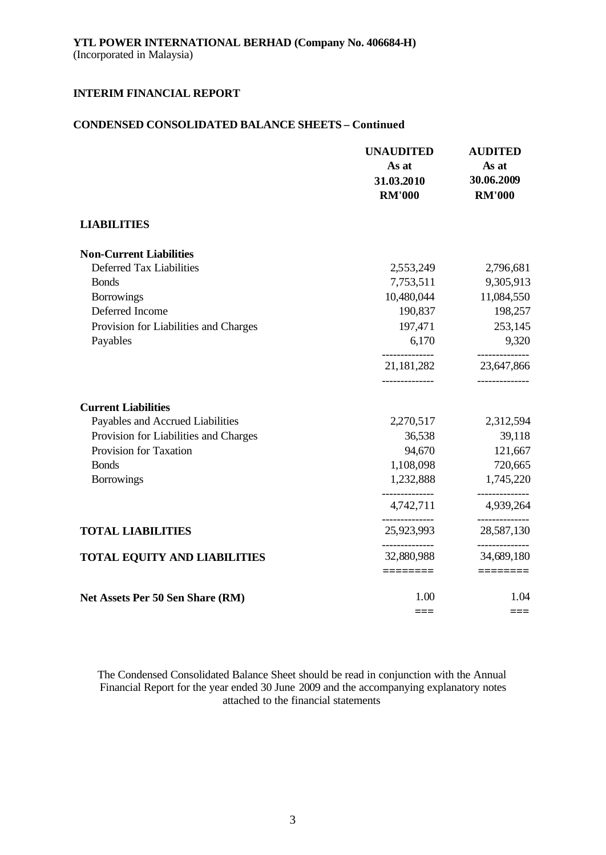### **CONDENSED CONSOLIDATED BALANCE SHEETS – Continued**

|                                       | <b>UNAUDITED</b><br>As at<br>31.03.2010<br><b>RM'000</b> | <b>AUDITED</b><br>As at<br>30.06.2009<br><b>RM'000</b> |
|---------------------------------------|----------------------------------------------------------|--------------------------------------------------------|
| <b>LIABILITIES</b>                    |                                                          |                                                        |
| <b>Non-Current Liabilities</b>        |                                                          |                                                        |
| Deferred Tax Liabilities              | 2,553,249                                                | 2,796,681                                              |
| <b>Bonds</b>                          | 7,753,511                                                | 9,305,913                                              |
| <b>Borrowings</b>                     | 10,480,044                                               | 11,084,550                                             |
| Deferred Income                       | 190,837                                                  | 198,257                                                |
| Provision for Liabilities and Charges | 197,471                                                  | 253,145                                                |
| Payables                              | 6,170                                                    | 9,320                                                  |
|                                       | 21, 181, 282<br>-------------                            | 23,647,866<br>------------                             |
| <b>Current Liabilities</b>            |                                                          |                                                        |
| Payables and Accrued Liabilities      | 2,270,517                                                | 2,312,594                                              |
| Provision for Liabilities and Charges | 36,538                                                   | 39,118                                                 |
| Provision for Taxation                | 94,670                                                   | 121,667                                                |
| <b>Bonds</b>                          | 1,108,098                                                | 720,665                                                |
| <b>Borrowings</b>                     | 1,232,888                                                | 1,745,220                                              |
|                                       | 4,742,711                                                | 4,939,264                                              |
| <b>TOTAL LIABILITIES</b>              | 25,923,993                                               | 28,587,130                                             |
| <b>TOTAL EQUITY AND LIABILITIES</b>   | 32,880,988                                               | ----------<br>34,689,180                               |
|                                       |                                                          |                                                        |
| Net Assets Per 50 Sen Share (RM)      | 1.00                                                     | 1.04                                                   |
|                                       | ===                                                      | $===$                                                  |

The Condensed Consolidated Balance Sheet should be read in conjunction with the Annual Financial Report for the year ended 30 June 2009 and the accompanying explanatory notes attached to the financial statements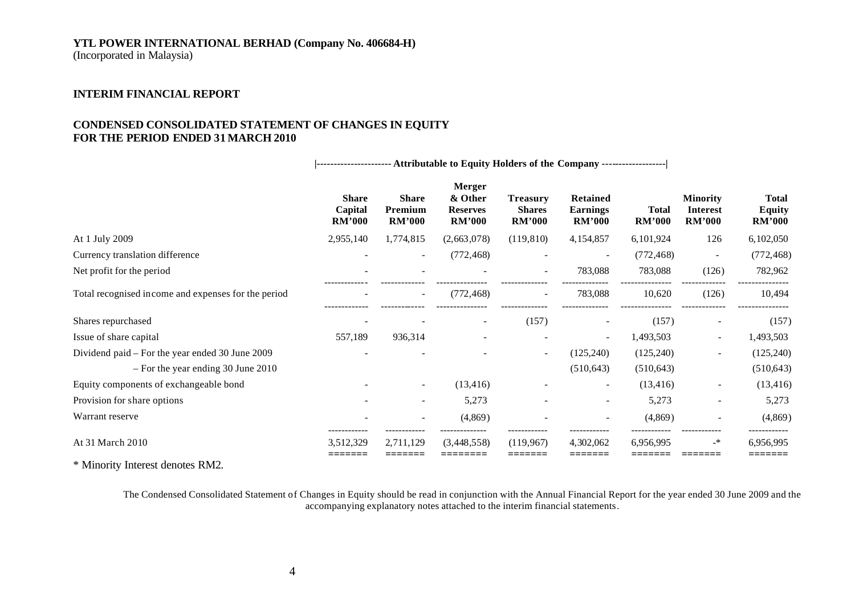### **YTL POWER INTERNATIONAL BERHAD (Company No. 406684-H)**

(Incorporated in Malaysia)

### **INTERIM FINANCIAL REPORT**

#### **CONDENSED CONSOLIDATED STATEMENT OF CHANGES IN EQUITY FOR THE PERIOD ENDED 31 MARCH 2010**

**|---------------------- Attributable to Equity Holders of the Company -------------------|**

|                                                     | <b>Share</b><br>Capital<br><b>RM'000</b> | <b>Share</b><br>Premium<br><b>RM'000</b> | <b>Merger</b><br>& Other<br><b>Reserves</b><br><b>RM'000</b> | <b>Treasury</b><br><b>Shares</b><br><b>RM'000</b> | Retained<br><b>Earnings</b><br><b>RM'000</b> | <b>Total</b><br><b>RM'000</b> | <b>Minority</b><br><b>Interest</b><br><b>RM'000</b> | <b>Total</b><br><b>Equity</b><br><b>RM'000</b> |
|-----------------------------------------------------|------------------------------------------|------------------------------------------|--------------------------------------------------------------|---------------------------------------------------|----------------------------------------------|-------------------------------|-----------------------------------------------------|------------------------------------------------|
| At 1 July 2009                                      | 2,955,140                                | 1,774,815                                | (2,663,078)                                                  | (119, 810)                                        | 4,154,857                                    | 6,101,924                     | 126                                                 | 6,102,050                                      |
| Currency translation difference                     |                                          | $\overline{\phantom{a}}$                 | (772, 468)                                                   |                                                   |                                              | (772, 468)                    |                                                     | (772, 468)                                     |
| Net profit for the period                           |                                          |                                          |                                                              | $\overline{\phantom{0}}$                          | 783,088                                      | 783,088                       | (126)                                               | 782,962                                        |
| Total recognised income and expenses for the period | $\overline{\phantom{a}}$                 | $\sim$                                   | (772, 468)                                                   | $\sim$                                            | 783,088                                      | 10,620                        | (126)                                               | 10,494                                         |
| Shares repurchased                                  |                                          |                                          |                                                              | (157)                                             |                                              | (157)                         |                                                     | (157)                                          |
| Issue of share capital                              | 557,189                                  | 936,314                                  |                                                              |                                                   | $\sim$                                       | 1,493,503                     | $\overline{\phantom{a}}$                            | 1,493,503                                      |
| Dividend paid – For the year ended 30 June 2009     |                                          |                                          |                                                              | $\sim$                                            | (125, 240)                                   | (125, 240)                    | $\sim$                                              | (125, 240)                                     |
| $-$ For the year ending 30 June 2010                |                                          |                                          |                                                              |                                                   | (510, 643)                                   | (510, 643)                    |                                                     | (510, 643)                                     |
| Equity components of exchangeable bond              |                                          | $\sim$                                   | (13, 416)                                                    |                                                   | -                                            | (13, 416)                     | $\sim$                                              | (13, 416)                                      |
| Provision for share options                         |                                          |                                          | 5,273                                                        |                                                   | -                                            | 5,273                         |                                                     | 5,273                                          |
| Warrant reserve                                     |                                          |                                          | (4,869)                                                      |                                                   |                                              | (4,869)                       |                                                     | (4, 869)                                       |
| At 31 March 2010                                    | ------------<br>3,512,329                | 2,711,129                                | (3,448,558)                                                  | (119.967)                                         | 4,302,062                                    | 6.956.995                     | _*                                                  | ------------<br>6,956,995                      |

\* Minority Interest denotes RM2.

The Condensed Consolidated Statement of Changes in Equity should be read in conjunction with the Annual Financial Report for the year ended 30 June 2009 and the accompanying explanatory notes attached to the interim financial statements.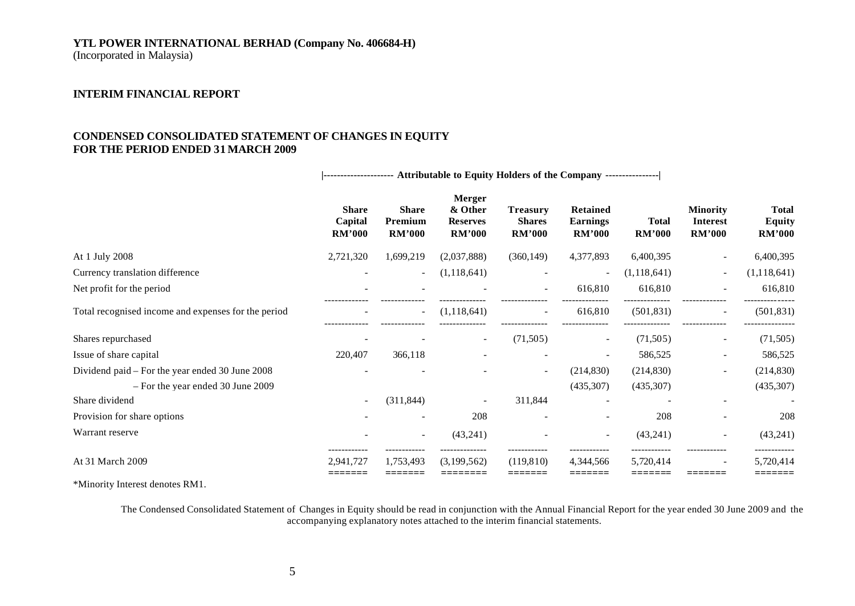# **YTL POWER INTERNATIONAL BERHAD (Company No. 406684-H)**

(Incorporated in Malaysia)

### **INTERIM FINANCIAL REPORT**

### **CONDENSED CONSOLIDATED STATEMENT OF CHANGES IN EQUITY FOR THE PERIOD ENDED 31 MARCH 2009**

**|--------------------- Attributable to Equity Holders of the Company ----------------|**

|                                                     | <b>Share</b><br>Capital<br><b>RM'000</b> | <b>Share</b><br>Premium<br><b>RM'000</b> | <b>Merger</b><br>& Other<br><b>Reserves</b><br><b>RM'000</b> | <b>Treasury</b><br><b>Shares</b><br><b>RM'000</b> | Retained<br><b>Earnings</b><br><b>RM'000</b> | <b>Total</b><br><b>RM'000</b> | <b>Minority</b><br><b>Interest</b><br>RM'000 | <b>Total</b><br><b>Equity</b><br><b>RM'000</b> |
|-----------------------------------------------------|------------------------------------------|------------------------------------------|--------------------------------------------------------------|---------------------------------------------------|----------------------------------------------|-------------------------------|----------------------------------------------|------------------------------------------------|
| At 1 July 2008                                      | 2,721,320                                | 1,699,219                                | (2,037,888)                                                  | (360, 149)                                        | 4,377,893                                    | 6,400,395                     |                                              | 6,400,395                                      |
| Currency translation difference                     |                                          | $\overline{\phantom{a}}$                 | (1, 118, 641)                                                |                                                   | $\blacksquare$                               | (1,118,641)                   | $\sim$                                       | (1, 118, 641)                                  |
| Net profit for the period                           |                                          |                                          |                                                              |                                                   | 616,810                                      | 616,810                       |                                              | 616,810                                        |
| Total recognised income and expenses for the period |                                          | -                                        | (1,118,641)                                                  |                                                   | 616,810                                      | (501, 831)                    | $\sim$                                       | (501, 831)                                     |
| Shares repurchased                                  |                                          |                                          | $\sim$                                                       | (71,505)                                          | $\overline{\phantom{a}}$                     | (71,505)                      | $\sim$                                       | (71, 505)                                      |
| Issue of share capital                              | 220,407                                  | 366,118                                  |                                                              |                                                   |                                              | 586,525                       | $\overline{\phantom{0}}$                     | 586,525                                        |
| Dividend paid – For the year ended 30 June 2008     |                                          |                                          |                                                              | $\sim$                                            | (214, 830)                                   | (214, 830)                    | $\overline{\phantom{0}}$                     | (214, 830)                                     |
| - For the year ended 30 June 2009                   |                                          |                                          |                                                              |                                                   | (435,307)                                    | (435, 307)                    |                                              | (435,307)                                      |
| Share dividend                                      |                                          | (311, 844)                               | $\overline{\phantom{a}}$                                     | 311,844                                           |                                              |                               |                                              |                                                |
| Provision for share options                         |                                          |                                          | 208                                                          |                                                   | $\blacksquare$                               | 208                           |                                              | 208                                            |
| Warrant reserve                                     |                                          | ۰.                                       | (43,241)                                                     |                                                   | $\sim$                                       | (43,241)                      | $\sim$                                       | (43,241)                                       |
| At 31 March 2009                                    | 2.941.727                                | 1,753,493                                | (3,199,562)                                                  | (119, 810)                                        | 4,344,566                                    | 5,720,414                     |                                              | 5,720,414                                      |

\*Minority Interest denotes RM1.

The Condensed Consolidated Statement of Changes in Equity should be read in conjunction with the Annual Financial Report for the year ended 30 June 2009 and the accompanying explanatory notes attached to the interim financial statements.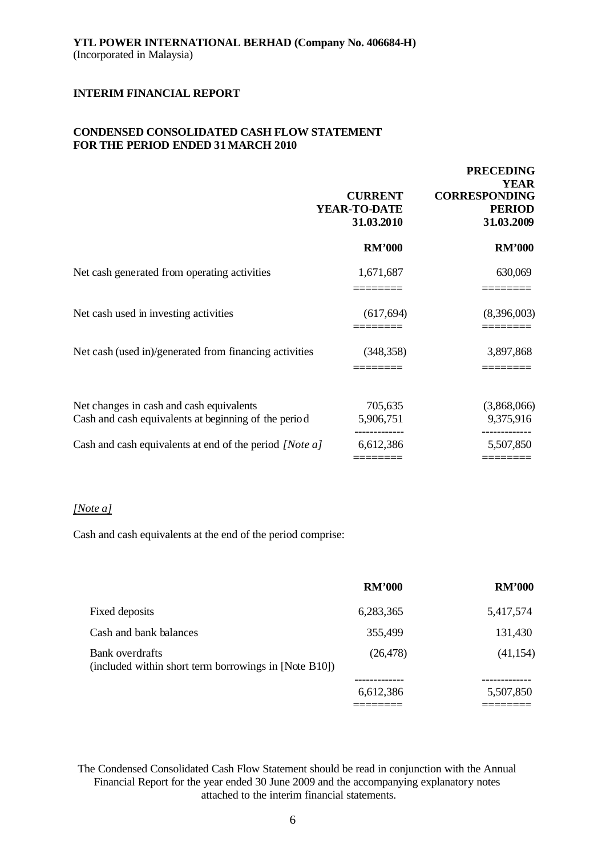### **CONDENSED CONSOLIDATED CASH FLOW STATEMENT FOR THE PERIOD ENDED 31 MARCH 2010**

|                                                                                                  | <b>CURRENT</b><br>YEAR-TO-DATE<br>31.03.2010 | <b>PRECEDING</b><br><b>YEAR</b><br><b>CORRESPONDING</b><br><b>PERIOD</b><br>31.03.2009 |
|--------------------------------------------------------------------------------------------------|----------------------------------------------|----------------------------------------------------------------------------------------|
|                                                                                                  | <b>RM'000</b>                                | <b>RM'000</b>                                                                          |
| Net cash generated from operating activities                                                     | 1,671,687                                    | 630,069                                                                                |
| Net cash used in investing activities                                                            | (617, 694)                                   | (8,396,003)                                                                            |
| Net cash (used in)/generated from financing activities                                           | (348, 358)                                   | 3,897,868                                                                              |
| Net changes in cash and cash equivalents<br>Cash and cash equivalents at beginning of the period | 705,635<br>5,906,751                         | (3,868,066)<br>9,375,916                                                               |
| Cash and cash equivalents at end of the period [Note a]                                          | 6,612,386                                    | 5,507,850                                                                              |

### *[Note a]*

Cash and cash equivalents at the end of the period comprise:

|                                                                          | <b>RM'000</b> | <b>RM'000</b> |
|--------------------------------------------------------------------------|---------------|---------------|
| Fixed deposits                                                           | 6,283,365     | 5,417,574     |
| Cash and bank balances                                                   | 355,499       | 131,430       |
| Bank overdrafts<br>(included within short term borrowings in [Note B10]) | (26, 478)     | (41, 154)     |
|                                                                          | 6,612,386     | 5,507,850     |
|                                                                          |               |               |

The Condensed Consolidated Cash Flow Statement should be read in conjunction with the Annual Financial Report for the year ended 30 June 2009 and the accompanying explanatory notes attached to the interim financial statements.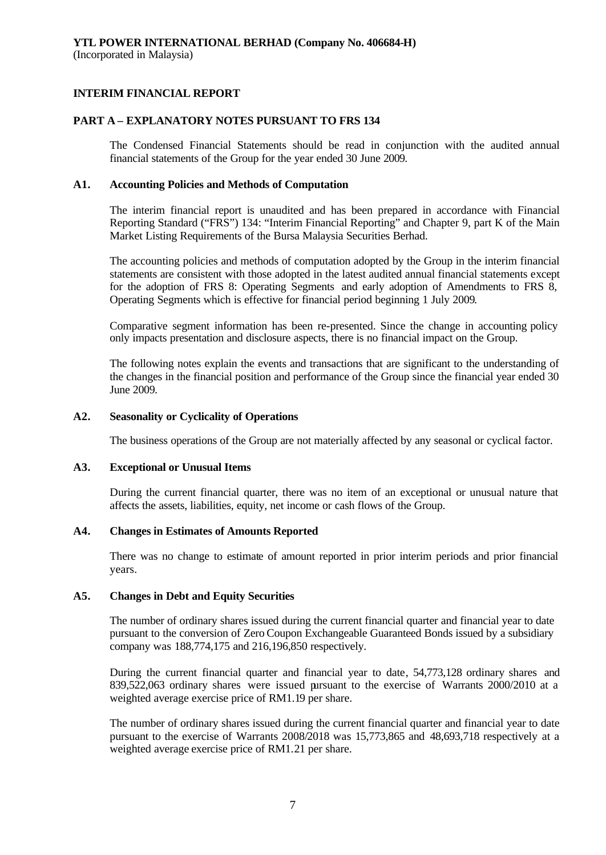### **PART A – EXPLANATORY NOTES PURSUANT TO FRS 134**

The Condensed Financial Statements should be read in conjunction with the audited annual financial statements of the Group for the year ended 30 June 2009.

#### **A1. Accounting Policies and Methods of Computation**

The interim financial report is unaudited and has been prepared in accordance with Financial Reporting Standard ("FRS") 134: "Interim Financial Reporting" and Chapter 9, part K of the Main Market Listing Requirements of the Bursa Malaysia Securities Berhad.

The accounting policies and methods of computation adopted by the Group in the interim financial statements are consistent with those adopted in the latest audited annual financial statements except for the adoption of FRS 8: Operating Segments and early adoption of Amendments to FRS 8, Operating Segments which is effective for financial period beginning 1 July 2009.

Comparative segment information has been re-presented. Since the change in accounting policy only impacts presentation and disclosure aspects, there is no financial impact on the Group.

The following notes explain the events and transactions that are significant to the understanding of the changes in the financial position and performance of the Group since the financial year ended 30 June 2009.

### **A2. Seasonality or Cyclicality of Operations**

The business operations of the Group are not materially affected by any seasonal or cyclical factor.

#### **A3. Exceptional or Unusual Items**

During the current financial quarter, there was no item of an exceptional or unusual nature that affects the assets, liabilities, equity, net income or cash flows of the Group.

#### **A4. Changes in Estimates of Amounts Reported**

There was no change to estimate of amount reported in prior interim periods and prior financial years.

#### **A5. Changes in Debt and Equity Securities**

The number of ordinary shares issued during the current financial quarter and financial year to date pursuant to the conversion of Zero Coupon Exchangeable Guaranteed Bonds issued by a subsidiary company was 188,774,175 and 216,196,850 respectively.

During the current financial quarter and financial year to date, 54,773,128 ordinary shares and 839,522,063 ordinary shares were issued pursuant to the exercise of Warrants 2000/2010 at a weighted average exercise price of RM1.19 per share.

The number of ordinary shares issued during the current financial quarter and financial year to date pursuant to the exercise of Warrants 2008/2018 was 15,773,865 and 48,693,718 respectively at a weighted average exercise price of RM1.21 per share.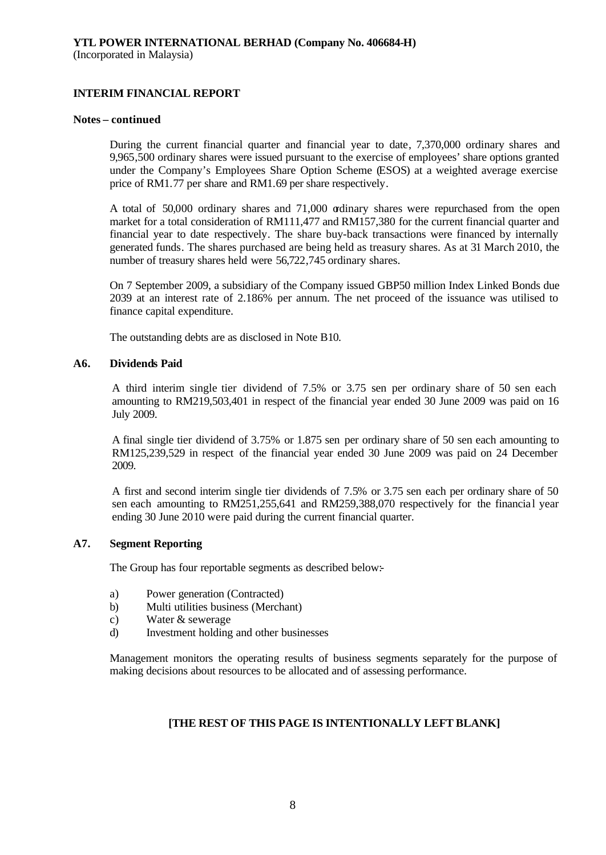#### **Notes – continued**

During the current financial quarter and financial year to date, 7,370,000 ordinary shares and 9,965,500 ordinary shares were issued pursuant to the exercise of employees' share options granted under the Company's Employees Share Option Scheme (ESOS) at a weighted average exercise price of RM1.77 per share and RM1.69 per share respectively.

A total of 50,000 ordinary shares and 71,000 ordinary shares were repurchased from the open market for a total consideration of RM111,477 and RM157,380 for the current financial quarter and financial year to date respectively. The share buy-back transactions were financed by internally generated funds. The shares purchased are being held as treasury shares. As at 31 March 2010, the number of treasury shares held were 56,722,745 ordinary shares.

On 7 September 2009, a subsidiary of the Company issued GBP50 million Index Linked Bonds due 2039 at an interest rate of 2.186% per annum. The net proceed of the issuance was utilised to finance capital expenditure.

The outstanding debts are as disclosed in Note B10.

#### **A6. Dividends Paid**

A third interim single tier dividend of 7.5% or 3.75 sen per ordinary share of 50 sen each amounting to RM219,503,401 in respect of the financial year ended 30 June 2009 was paid on 16 July 2009.

A final single tier dividend of 3.75% or 1.875 sen per ordinary share of 50 sen each amounting to RM125,239,529 in respect of the financial year ended 30 June 2009 was paid on 24 December 2009.

A first and second interim single tier dividends of 7.5% or 3.75 sen each per ordinary share of 50 sen each amounting to RM251,255,641 and RM259,388,070 respectively for the financial year ending 30 June 2010 were paid during the current financial quarter.

### **A7. Segment Reporting**

The Group has four reportable segments as described below:-

- a) Power generation (Contracted)
- b) Multi utilities business (Merchant)
- c) Water & sewerage
- d) Investment holding and other businesses

Management monitors the operating results of business segments separately for the purpose of making decisions about resources to be allocated and of assessing performance.

### **[THE REST OF THIS PAGE IS INTENTIONALLY LEFT BLANK]**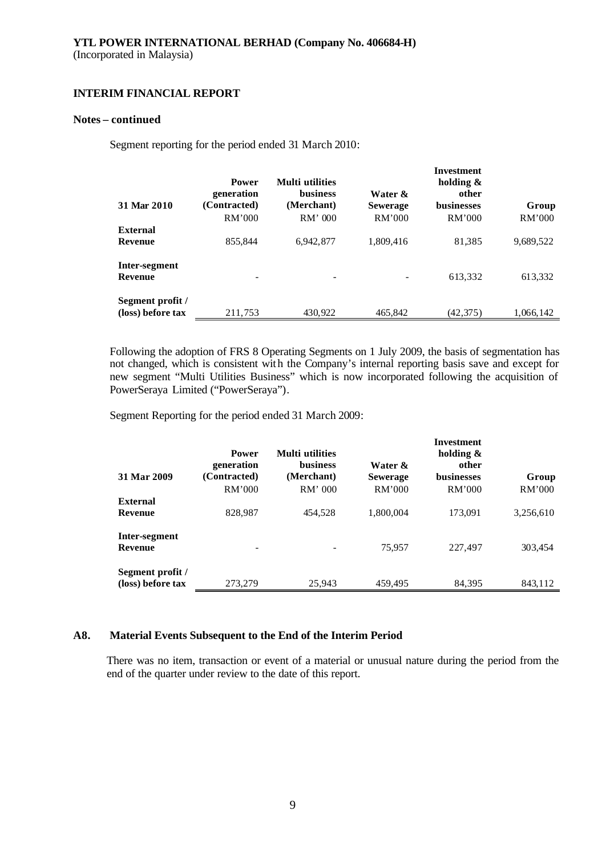#### **Notes – continued**

Segment reporting for the period ended 31 March 2010:

| 31 Mar 2010                           | <b>Power</b><br>generation<br>(Contracted)<br>RM'000 | <b>Multi</b> utilities<br><b>business</b><br>(Merchant)<br>$RM'$ 000 | Water &<br><b>Sewerage</b><br>RM'000 | Investment<br>holding $\&$<br>other<br><b>businesses</b><br>RM'000 | Group<br>RM'000 |
|---------------------------------------|------------------------------------------------------|----------------------------------------------------------------------|--------------------------------------|--------------------------------------------------------------------|-----------------|
| External                              |                                                      |                                                                      |                                      |                                                                    |                 |
| <b>Revenue</b>                        | 855,844                                              | 6,942,877                                                            | 1,809,416                            | 81,385                                                             | 9,689,522       |
| Inter-segment<br>Revenue              |                                                      |                                                                      |                                      | 613,332                                                            | 613,332         |
| Segment profit /<br>(loss) before tax | 211,753                                              | 430,922                                                              | 465,842                              | (42, 375)                                                          | 1,066,142       |

Following the adoption of FRS 8 Operating Segments on 1 July 2009, the basis of segmentation has not changed, which is consistent with the Company's internal reporting basis save and except for new segment "Multi Utilities Business" which is now incorporated following the acquisition of PowerSeraya Limited ("PowerSeraya").

Segment Reporting for the period ended 31 March 2009:

| 31 Mar 2009                           | <b>Power</b><br>generation<br>(Contracted)<br>RM'000 | <b>Multi</b> utilities<br><b>business</b><br>(Merchant)<br>RM' 000 | Water &<br><b>Sewerage</b><br>RM'000 | Investment<br>holding $\&$<br>other<br><b>businesses</b><br>RM'000 | Group<br>RM'000 |
|---------------------------------------|------------------------------------------------------|--------------------------------------------------------------------|--------------------------------------|--------------------------------------------------------------------|-----------------|
| <b>External</b><br><b>Revenue</b>     | 828.987                                              | 454,528                                                            | 1,800,004                            | 173,091                                                            | 3,256,610       |
| Inter-segment<br><b>Revenue</b>       |                                                      |                                                                    | 75,957                               | 227,497                                                            | 303,454         |
| Segment profit /<br>(loss) before tax | 273,279                                              | 25,943                                                             | 459,495                              | 84,395                                                             | 843,112         |

### **A8. Material Events Subsequent to the End of the Interim Period**

There was no item, transaction or event of a material or unusual nature during the period from the end of the quarter under review to the date of this report.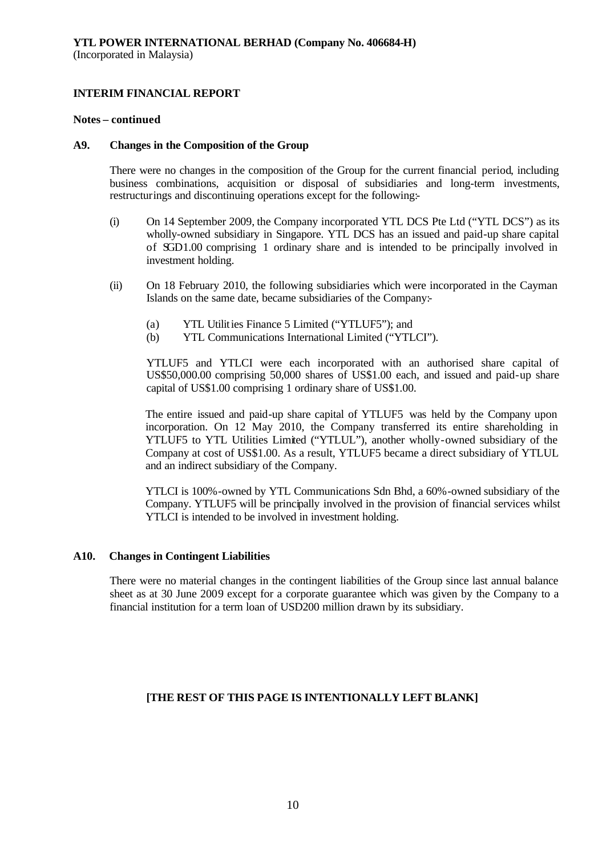#### **Notes – continued**

#### **A9. Changes in the Composition of the Group**

There were no changes in the composition of the Group for the current financial period, including business combinations, acquisition or disposal of subsidiaries and long-term investments, restructurings and discontinuing operations except for the following:-

- (i) On 14 September 2009, the Company incorporated YTL DCS Pte Ltd ("YTL DCS") as its wholly-owned subsidiary in Singapore. YTL DCS has an issued and paid-up share capital of SGD1.00 comprising 1 ordinary share and is intended to be principally involved in investment holding.
- (ii) On 18 February 2010, the following subsidiaries which were incorporated in the Cayman Islands on the same date, became subsidiaries of the Company:-
	- (a) YTL Utilities Finance 5 Limited ("YTLUF5"); and
	- (b) YTL Communications International Limited ("YTLCI").

YTLUF5 and YTLCI were each incorporated with an authorised share capital of US\$50,000.00 comprising 50,000 shares of US\$1.00 each, and issued and paid-up share capital of US\$1.00 comprising 1 ordinary share of US\$1.00.

The entire issued and paid-up share capital of YTLUF5 was held by the Company upon incorporation. On 12 May 2010, the Company transferred its entire shareholding in YTLUF5 to YTL Utilities Limited ("YTLUL"), another wholly-owned subsidiary of the Company at cost of US\$1.00. As a result, YTLUF5 became a direct subsidiary of YTLUL and an indirect subsidiary of the Company.

YTLCI is 100%-owned by YTL Communications Sdn Bhd, a 60%-owned subsidiary of the Company. YTLUF5 will be principally involved in the provision of financial services whilst YTLCI is intended to be involved in investment holding.

### **A10. Changes in Contingent Liabilities**

There were no material changes in the contingent liabilities of the Group since last annual balance sheet as at 30 June 2009 except for a corporate guarantee which was given by the Company to a financial institution for a term loan of USD200 million drawn by its subsidiary.

### **[THE REST OF THIS PAGE IS INTENTIONALLY LEFT BLANK]**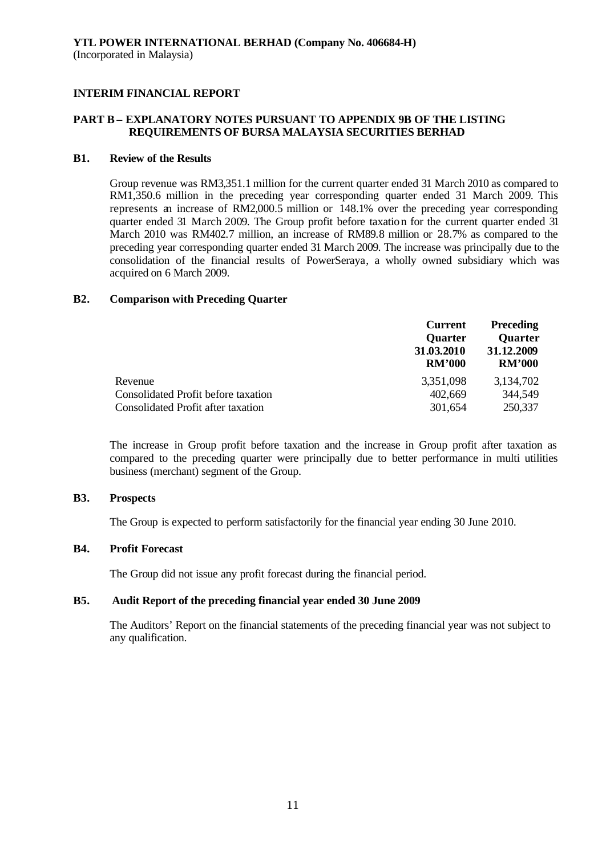### **PART B – EXPLANATORY NOTES PURSUANT TO APPENDIX 9B OF THE LISTING REQUIREMENTS OF BURSA MALAYSIA SECURITIES BERHAD**

#### **B1. Review of the Results**

Group revenue was RM3,351.1 million for the current quarter ended 31 March 2010 as compared to RM1,350.6 million in the preceding year corresponding quarter ended 31 March 2009. This represents an increase of RM2,000.5 million or 148.1% over the preceding year corresponding quarter ended 31 March 2009. The Group profit before taxation for the current quarter ended 31 March 2010 was RM402.7 million, an increase of RM89.8 million or 28.7% as compared to the preceding year corresponding quarter ended 31 March 2009. The increase was principally due to the consolidation of the financial results of PowerSeraya, a wholly owned subsidiary which was acquired on 6 March 2009.

#### **B2. Comparison with Preceding Quarter**

| 31.12.2009<br><b>RM'000</b> |
|-----------------------------|
| 3,134,702                   |
| 344,549                     |
| 250,337                     |
|                             |

The increase in Group profit before taxation and the increase in Group profit after taxation as compared to the preceding quarter were principally due to better performance in multi utilities business (merchant) segment of the Group.

### **B3. Prospects**

The Group is expected to perform satisfactorily for the financial year ending 30 June 2010.

### **B4. Profit Forecast**

The Group did not issue any profit forecast during the financial period.

### **B5. Audit Report of the preceding financial year ended 30 June 2009**

The Auditors' Report on the financial statements of the preceding financial year was not subject to any qualification.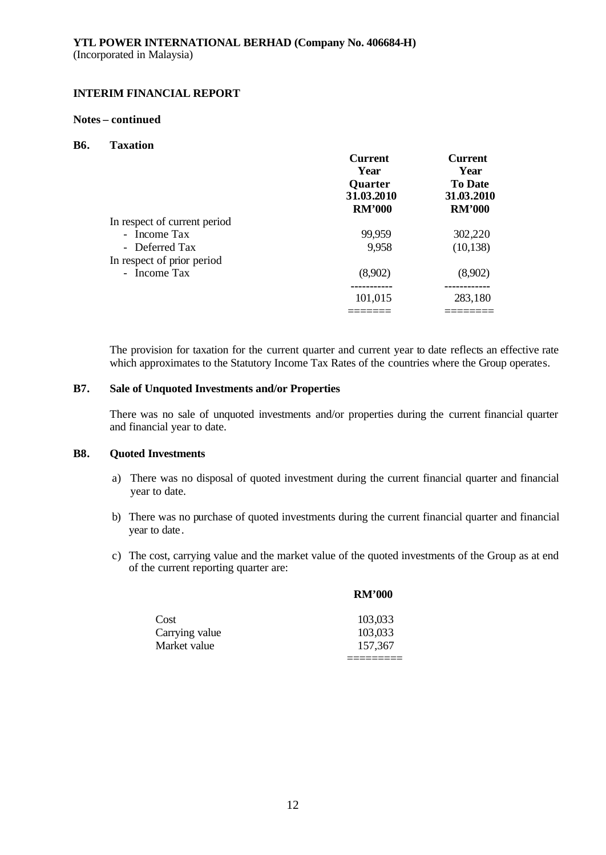#### **Notes – continued**

#### **B6. Taxation**

|                              | <b>Current</b><br>Year<br>Quarter<br>31.03.2010<br><b>RM'000</b> | <b>Current</b><br>Year<br><b>To Date</b><br>31.03.2010<br><b>RM'000</b> |
|------------------------------|------------------------------------------------------------------|-------------------------------------------------------------------------|
| In respect of current period |                                                                  |                                                                         |
| - Income Tax                 | 99,959                                                           | 302,220                                                                 |
| - Deferred Tax               | 9,958                                                            | (10, 138)                                                               |
| In respect of prior period   |                                                                  |                                                                         |
| - Income Tax                 | (8,902)                                                          | (8,902)                                                                 |
|                              |                                                                  |                                                                         |
|                              | 101,015                                                          | 283,180                                                                 |
|                              |                                                                  |                                                                         |

The provision for taxation for the current quarter and current year to date reflects an effective rate which approximates to the Statutory Income Tax Rates of the countries where the Group operates.

### **B7. Sale of Unquoted Investments and/or Properties**

There was no sale of unquoted investments and/or properties during the current financial quarter and financial year to date.

#### **B8. Quoted Investments**

- a) There was no disposal of quoted investment during the current financial quarter and financial year to date.
- b) There was no purchase of quoted investments during the current financial quarter and financial year to date.
- c) The cost, carrying value and the market value of the quoted investments of the Group as at end of the current reporting quarter are:

|                | <b>RM'000</b> |
|----------------|---------------|
| Cost           | 103,033       |
| Carrying value | 103,033       |
| Market value   | 157,367       |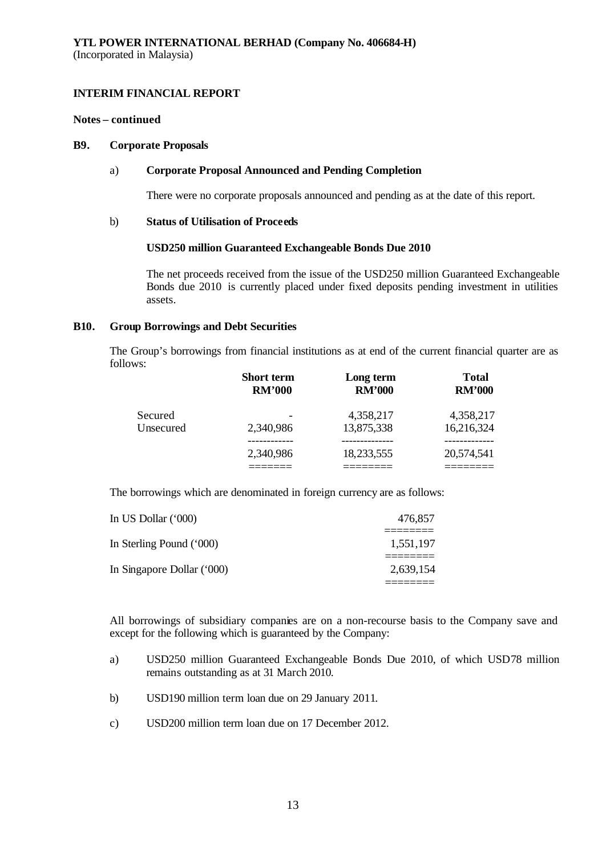#### **Notes – continued**

#### **B9. Corporate Proposals**

### a) **Corporate Proposal Announced and Pending Completion**

There were no corporate proposals announced and pending as at the date of this report.

#### b) **Status of Utilisation of Proceeds**

#### **USD250 million Guaranteed Exchangeable Bonds Due 2010**

The net proceeds received from the issue of the USD250 million Guaranteed Exchangeable Bonds due 2010 is currently placed under fixed deposits pending investment in utilities assets.

### **B10. Group Borrowings and Debt Securities**

The Group's borrowings from financial institutions as at end of the current financial quarter are as follows:

|           | <b>Short term</b> | Long term     | <b>Total</b>  |
|-----------|-------------------|---------------|---------------|
|           | <b>RM'000</b>     | <b>RM'000</b> | <b>RM'000</b> |
| Secured   | 2,340,986         | 4,358,217     | 4,358,217     |
| Unsecured |                   | 13,875,338    | 16,216,324    |
|           | 2,340,986         | 18,233,555    | 20,574,541    |

The borrowings which are denominated in foreign currency are as follows:

| In US Dollar (*000)        | 476.857   |
|----------------------------|-----------|
| In Sterling Pound ('000)   | 1,551,197 |
| In Singapore Dollar ('000) | 2,639,154 |
|                            |           |

All borrowings of subsidiary companies are on a non-recourse basis to the Company save and except for the following which is guaranteed by the Company:

- a) USD250 million Guaranteed Exchangeable Bonds Due 2010, of which USD78 million remains outstanding as at 31 March 2010.
- b) USD190 million term loan due on 29 January 2011.
- c) USD200 million term loan due on 17 December 2012.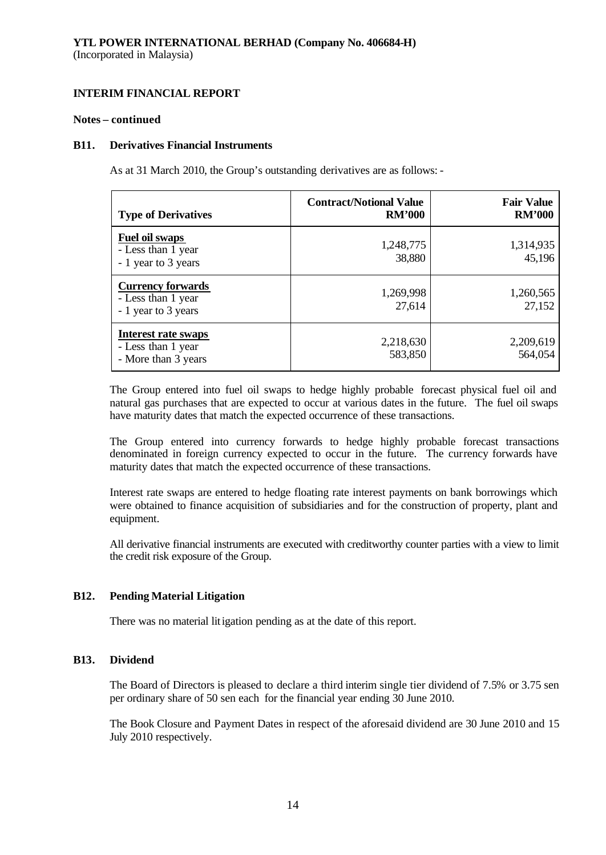#### **Notes – continued**

#### **B11. Derivatives Financial Instruments**

As at 31 March 2010, the Group's outstanding derivatives are as follows: -

| <b>Type of Derivatives</b>                                              | <b>Contract/Notional Value</b><br><b>RM'000</b> | <b>Fair Value</b><br><b>RM'000</b> |
|-------------------------------------------------------------------------|-------------------------------------------------|------------------------------------|
| Fuel oil swaps<br>- Less than 1 year<br>- 1 year to 3 years             | 1,248,775<br>38,880                             | 1,314,935<br>45,196                |
| <b>Currency forwards</b><br>- Less than 1 year<br>- 1 year to 3 years   | 1,269,998<br>27,614                             | 1,260,565<br>27,152                |
| <b>Interest rate swaps</b><br>- Less than 1 year<br>- More than 3 years | 2,218,630<br>583,850                            | 2,209,619<br>564,054               |

The Group entered into fuel oil swaps to hedge highly probable forecast physical fuel oil and natural gas purchases that are expected to occur at various dates in the future. The fuel oil swaps have maturity dates that match the expected occurrence of these transactions.

The Group entered into currency forwards to hedge highly probable forecast transactions denominated in foreign currency expected to occur in the future. The currency forwards have maturity dates that match the expected occurrence of these transactions.

Interest rate swaps are entered to hedge floating rate interest payments on bank borrowings which were obtained to finance acquisition of subsidiaries and for the construction of property, plant and equipment.

All derivative financial instruments are executed with creditworthy counter parties with a view to limit the credit risk exposure of the Group.

### **B12. Pending Material Litigation**

There was no material litigation pending as at the date of this report.

### **B13. Dividend**

The Board of Directors is pleased to declare a third interim single tier dividend of 7.5% or 3.75 sen per ordinary share of 50 sen each for the financial year ending 30 June 2010.

The Book Closure and Payment Dates in respect of the aforesaid dividend are 30 June 2010 and 15 July 2010 respectively.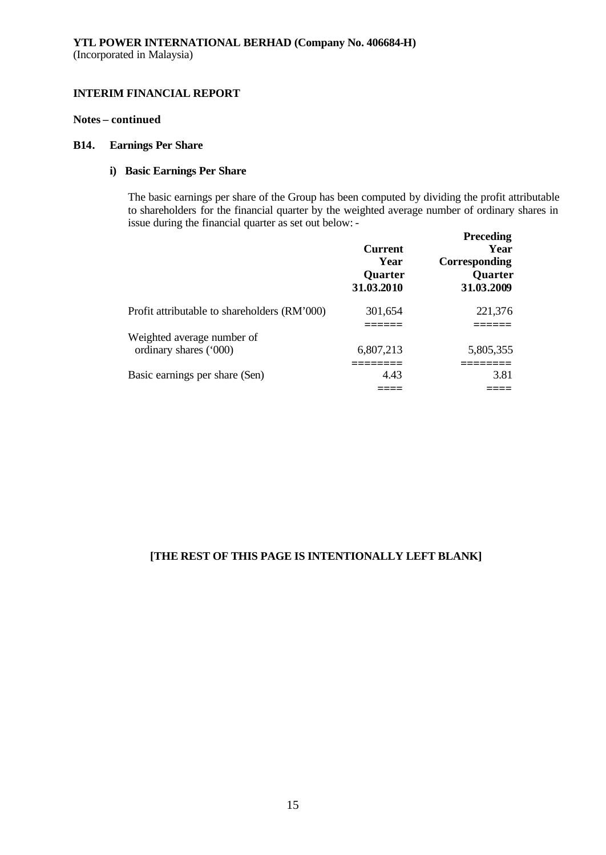### **Notes – continued**

#### **B14. Earnings Per Share**

#### **i) Basic Earnings Per Share**

The basic earnings per share of the Group has been computed by dividing the profit attributable to shareholders for the financial quarter by the weighted average number of ordinary shares in issue during the financial quarter as set out below: -

|                                              | <b>Current</b><br>Year<br><b>Quarter</b><br>31.03.2010 | <b>Preceding</b><br>Year<br>Corresponding<br><b>Quarter</b><br>31.03.2009 |
|----------------------------------------------|--------------------------------------------------------|---------------------------------------------------------------------------|
| Profit attributable to shareholders (RM'000) | 301,654                                                | 221,376                                                                   |
| Weighted average number of                   |                                                        |                                                                           |
| ordinary shares ('000)                       | 6,807,213                                              | 5,805,355                                                                 |
| Basic earnings per share (Sen)               | 4.43                                                   | 3.81                                                                      |
|                                              |                                                        |                                                                           |

### **[THE REST OF THIS PAGE IS INTENTIONALLY LEFT BLANK]**